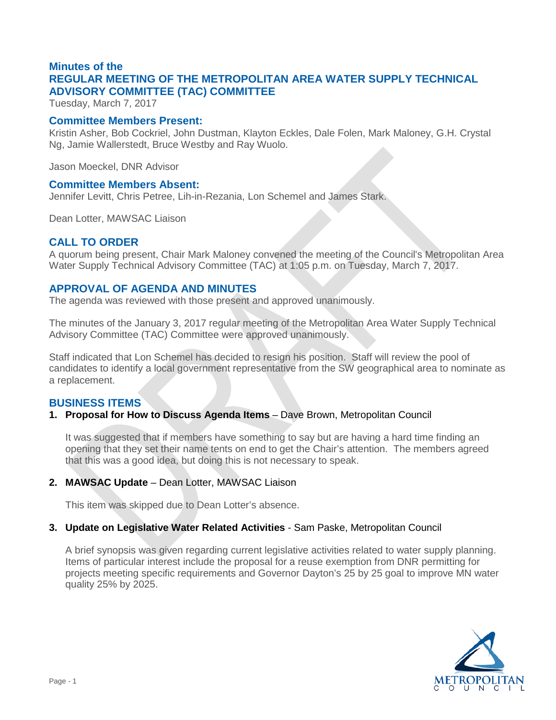# **Minutes of the REGULAR MEETING OF THE METROPOLITAN AREA WATER SUPPLY TECHNICAL ADVISORY COMMITTEE (TAC) COMMITTEE**

Tuesday, March 7, 2017

#### **Committee Members Present:**

Kristin Asher, Bob Cockriel, John Dustman, Klayton Eckles, Dale Folen, Mark Maloney, G.H. Crystal Ng, Jamie Wallerstedt, Bruce Westby and Ray Wuolo.

Jason Moeckel, DNR Advisor

#### **Committee Members Absent:**

Jennifer Levitt, Chris Petree, Lih-in-Rezania, Lon Schemel and James Stark.

Dean Lotter, MAWSAC Liaison

## **CALL TO ORDER**

A quorum being present, Chair Mark Maloney convened the meeting of the Council's Metropolitan Area Water Supply Technical Advisory Committee (TAC) at 1:05 p.m. on Tuesday, March 7, 2017.

## **APPROVAL OF AGENDA AND MINUTES**

The agenda was reviewed with those present and approved unanimously.

The minutes of the January 3, 2017 regular meeting of the Metropolitan Area Water Supply Technical Advisory Committee (TAC) Committee were approved unanimously.

Staff indicated that Lon Schemel has decided to resign his position. Staff will review the pool of candidates to identify a local government representative from the SW geographical area to nominate as a replacement.

#### **BUSINESS ITEMS**

## **1. Proposal for How to Discuss Agenda Items** – Dave Brown, Metropolitan Council

It was suggested that if members have something to say but are having a hard time finding an opening that they set their name tents on end to get the Chair's attention. The members agreed that this was a good idea, but doing this is not necessary to speak.

#### **2. MAWSAC Update** – Dean Lotter, MAWSAC Liaison

This item was skipped due to Dean Lotter's absence.

## **3. Update on Legislative Water Related Activities** - Sam Paske, Metropolitan Council

A brief synopsis was given regarding current legislative activities related to water supply planning. Items of particular interest include the proposal for a reuse exemption from DNR permitting for projects meeting specific requirements and Governor Dayton's 25 by 25 goal to improve MN water quality 25% by 2025.

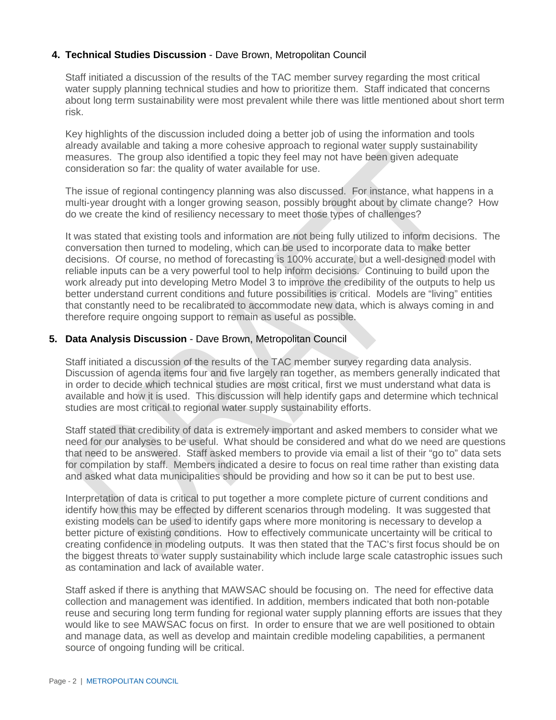## **4. Technical Studies Discussion** - Dave Brown, Metropolitan Council

Staff initiated a discussion of the results of the TAC member survey regarding the most critical water supply planning technical studies and how to prioritize them. Staff indicated that concerns about long term sustainability were most prevalent while there was little mentioned about short term risk.

Key highlights of the discussion included doing a better job of using the information and tools already available and taking a more cohesive approach to regional water supply sustainability measures. The group also identified a topic they feel may not have been given adequate consideration so far: the quality of water available for use.

The issue of regional contingency planning was also discussed. For instance, what happens in a multi-year drought with a longer growing season, possibly brought about by climate change? How do we create the kind of resiliency necessary to meet those types of challenges?

It was stated that existing tools and information are not being fully utilized to inform decisions. The conversation then turned to modeling, which can be used to incorporate data to make better decisions. Of course, no method of forecasting is 100% accurate, but a well-designed model with reliable inputs can be a very powerful tool to help inform decisions. Continuing to build upon the work already put into developing Metro Model 3 to improve the credibility of the outputs to help us better understand current conditions and future possibilities is critical. Models are "living" entities that constantly need to be recalibrated to accommodate new data, which is always coming in and therefore require ongoing support to remain as useful as possible.

## **5. Data Analysis Discussion** - Dave Brown, Metropolitan Council

Staff initiated a discussion of the results of the TAC member survey regarding data analysis. Discussion of agenda items four and five largely ran together, as members generally indicated that in order to decide which technical studies are most critical, first we must understand what data is available and how it is used. This discussion will help identify gaps and determine which technical studies are most critical to regional water supply sustainability efforts.

Staff stated that credibility of data is extremely important and asked members to consider what we need for our analyses to be useful. What should be considered and what do we need are questions that need to be answered. Staff asked members to provide via email a list of their "go to" data sets for compilation by staff. Members indicated a desire to focus on real time rather than existing data and asked what data municipalities should be providing and how so it can be put to best use.

Interpretation of data is critical to put together a more complete picture of current conditions and identify how this may be effected by different scenarios through modeling. It was suggested that existing models can be used to identify gaps where more monitoring is necessary to develop a better picture of existing conditions. How to effectively communicate uncertainty will be critical to creating confidence in modeling outputs. It was then stated that the TAC's first focus should be on the biggest threats to water supply sustainability which include large scale catastrophic issues such as contamination and lack of available water.

Staff asked if there is anything that MAWSAC should be focusing on. The need for effective data collection and management was identified. In addition, members indicated that both non-potable reuse and securing long term funding for regional water supply planning efforts are issues that they would like to see MAWSAC focus on first. In order to ensure that we are well positioned to obtain and manage data, as well as develop and maintain credible modeling capabilities, a permanent source of ongoing funding will be critical.